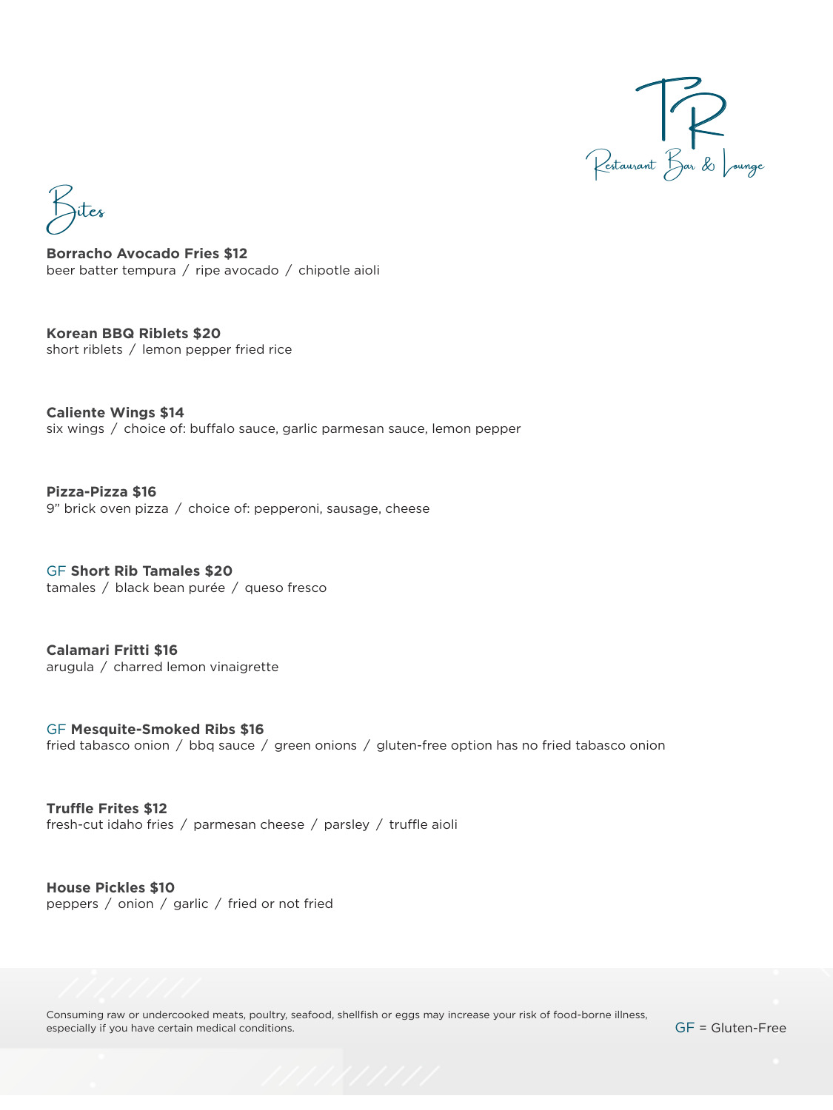

.<br>Jites

**Borracho Avocado Fries \$12**  beer batter tempura / ripe avocado / chipotle aioli

**Korean BBQ Riblets \$20**  short riblets / lemon pepper fried rice

**Caliente Wings \$14**  six wings / choice of: buffalo sauce, garlic parmesan sauce, lemon pepper

**Pizza-Pizza \$16**  9" brick oven pizza / choice of: pepperoni, sausage, cheese

GF **Short Rib Tamales \$20**  tamales / black bean purée / queso fresco

**Calamari Fritti \$16**  arugula / charred lemon vinaigrette

fried tabasco onion / bbq sauce / green onions / gluten-free option has no fried tabasco onion GF **Mesquite-Smoked Ribs \$16** 

**Truffle Frites \$12**  fresh-cut idaho fries / parmesan cheese / parsley / truffle aioli

**House Pickles \$10**  peppers / onion / garlic / fried or not fried

Consuming raw or undercooked meats, poultry, seafood, shellfish or eggs may increase your risk of food-borne illness, especially if you have certain medical conditions.

GF = Gluten-Free